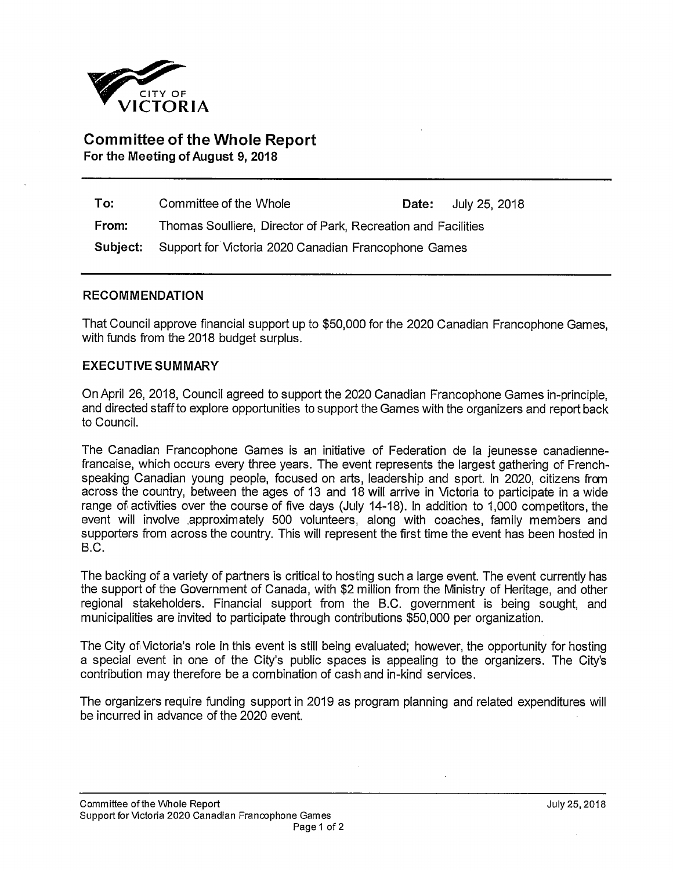

## **Committee of the Whole Report For the Meeting of August 9, 2018**

| To:   | Committee of the Whole                                        |  | <b>Date:</b> July 25, 2018 |
|-------|---------------------------------------------------------------|--|----------------------------|
| From: | Thomas Soulliere, Director of Park, Recreation and Facilities |  |                            |
|       | Subject: Support for Victoria 2020 Canadian Francophone Games |  |                            |

## **RECOMMENDATION**

That Council approve financial support up to \$50,000 for the 2020 Canadian Francophone Games, with funds from the 2018 budget surplus.

## **EXECUTIVE SUMMARY**

On April 26, 2018, Council agreed to support the 2020 Canadian Francophone Games in-principle, and directed staff to explore opportunities to support the Games with the organizers and report back to Council.

The Canadian Francophone Games is an initiative of Federation de la jeunesse canadiennefrancaise, which occurs every three years. The event represents the largest gathering of Frenchspeaking Canadian young people, focused on arts, leadership and sport. In 2020, citizens from across the country, between the ages of 13 and 18 will arrive in Victoria to participate in a wide range of activities over the course of five days (July 14-18). In addition to 1,000 competitors, the event will involve .approximately 500 volunteers, along with coaches, family members and supporters from across the country. This will represent the first time the event has been hosted in B.C.

The backing of a variety of partners is critical to hosting such a large event. The event currently has the support of the Government of Canada, with \$2 million from the Ministry of Heritage, and other regional stakeholders. Financial support from the B.C. government is being sought, and municipalities are invited to participate through contributions \$50,000 per organization.

The City of Victoria's role in this event is still being evaluated; however, the opportunity for hosting a special event in one of the City's public spaces is appealing to the organizers. The City's contribution may therefore be a combination of cash and in-kind services.

The organizers require funding support in 2019 as program planning and related expenditures will be incurred in advance of the 2020 event.